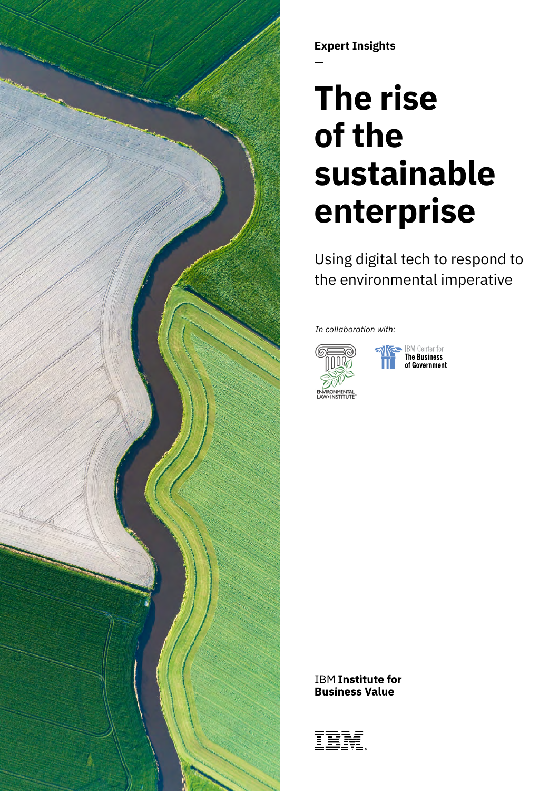

**Expert Insights**

# **The rise of the sustainable enterprise**

Using digital tech to respond to the environmental imperative

*In collaboration with:*





**IBM Institute for Business Value** 

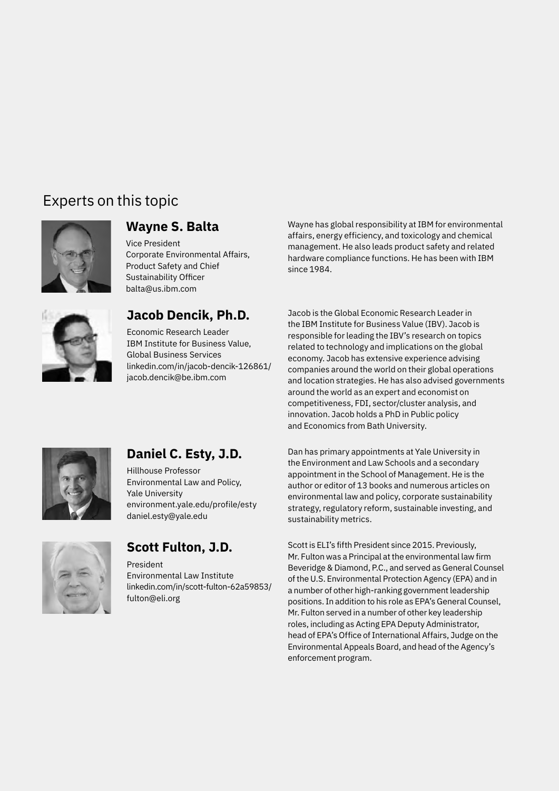# Experts on this topic



### **Wayne S. Balta**

Vice President Corporate Environmental Affairs, Product Safety and Chief Sustainability Officer [balta@us.ibm.com](mailto:balta%40us.ibm.com?subject=)



### **Jacob Dencik, Ph.D.**

Economic Research Leader IBM Institute for Business Value, Global Business Services [linkedin.com/in/jacob-dencik-126861/](http://linkedin.com/in/jacob-dencik-126861/) jacob.dencik@be.ibm.com

Wayne has global responsibility at IBM for environmental affairs, energy efficiency, and toxicology and chemical management. He also leads product safety and related hardware compliance functions. He has been with IBM since 1984.

Jacob is the Global Economic Research Leader in the IBM Institute for Business Value (IBV). Jacob is responsible for leading the IBV's research on topics related to technology and implications on the global economy. Jacob has extensive experience advising companies around the world on their global operations and location strategies. He has also advised governments around the world as an expert and economist on competitiveness, FDI, sector/cluster analysis, and innovation. Jacob holds a PhD in Public policy and Economics from Bath University.



### **Daniel C. Esty, J.D.**

Hillhouse Professor Environmental Law and Policy, Yale University [environment.yale.edu/profile/esty](https://environment.yale.edu/profile/esty) [daniel.esty@yale.edu](mailto:daniel.esty%40yale.edu?subject=)



### **Scott Fulton, J.D.**

President Environmental Law Institute [linkedin.com/in/scott-fulton-62a59853/](https://www.linkedin.com/in/scott-fulton-62a59853/) [fulton@eli.org](mailto:fulton%40eli.org?subject=)

Dan has primary appointments at Yale University in the Environment and Law Schools and a secondary appointment in the School of Management. He is the author or editor of 13 books and numerous articles on environmental law and policy, corporate sustainability strategy, regulatory reform, sustainable investing, and sustainability metrics.

Scott is ELI's fifth President since 2015. Previously, Mr. Fulton was a Principal at the environmental law firm Beveridge & Diamond, P.C., and served as General Counsel of the U.S. Environmental Protection Agency (EPA) and in a number of other high-ranking government leadership positions. In addition to his role as EPA's General Counsel, Mr. Fulton served in a number of other key leadership roles, including as Acting EPA Deputy Administrator, head of EPA's Office of International Affairs, Judge on the Environmental Appeals Board, and head of the Agency's enforcement program.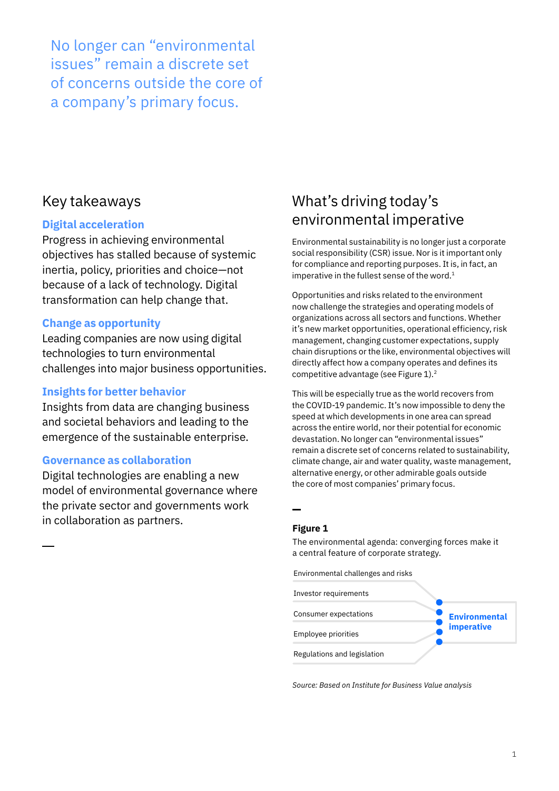No longer can "environmental issues" remain a discrete set of concerns outside the core of a company's primary focus.

### Key takeaways

### **Digital acceleration**

Progress in achieving environmental objectives has stalled because of systemic inertia, policy, priorities and choice—not because of a lack of technology. Digital transformation can help change that.

### **Change as opportunity**

Leading companies are now using digital technologies to turn environmental challenges into major business opportunities.

### **Insights for better behavior**

Insights from data are changing business and societal behaviors and leading to the emergence of the sustainable enterprise.

### **Governance as collaboration**

Digital technologies are enabling a new model of environmental governance where the private sector and governments work in collaboration as partners.

# What's driving today's environmental imperative

Environmental sustainability is no longer just a corporate social responsibility (CSR) issue. Nor is it important only for compliance and reporting purposes. It is, in fact, an imperative in the fullest sense of the word. $1$ 

Opportunities and risks related to the environment now challenge the strategies and operating models of organizations across all sectors and functions. Whether it's new market opportunities, operational efficiency, risk management, changing customer expectations, supply chain disruptions or the like, environmental objectives will directly affect how a company operates and defines its competitive advantage (see Figure 1).<sup>2</sup>

This will be especially true as the world recovers from the COVID-19 pandemic. It's now impossible to deny the speed at which developments in one area can spread across the entire world, nor their potential for economic devastation. No longer can "environmental issues" remain a discrete set of concerns related to sustainability, climate change, air and water quality, waste management, alternative energy, or other admirable goals outside the core of most companies' primary focus.

### **Figure 1**

The environmental agenda: converging forces make it a central feature of corporate strategy.

Environmental challenges and risks



*Source: Based on Institute for Business Value analysis*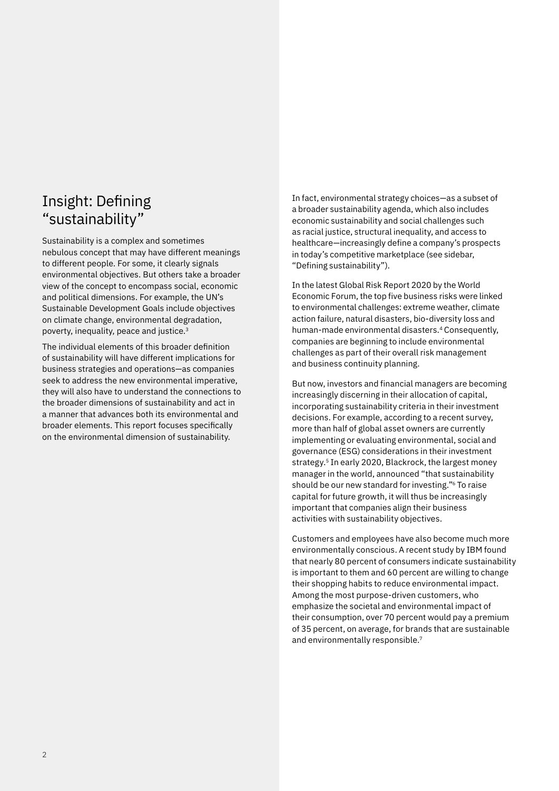### Insight: Defining "sustainability"

Sustainability is a complex and sometimes nebulous concept that may have different meanings to different people. For some, it clearly signals environmental objectives. But others take a broader view of the concept to encompass social, economic and political dimensions. For example, the UN's Sustainable Development Goals include objectives on climate change, environmental degradation, poverty, inequality, peace and justice.3

The individual elements of this broader definition of sustainability will have different implications for business strategies and operations—as companies seek to address the new environmental imperative, they will also have to understand the connections to the broader dimensions of sustainability and act in a manner that advances both its environmental and broader elements. This report focuses specifically on the environmental dimension of sustainability.

In fact, environmental strategy choices—as a subset of a broader sustainability agenda, which also includes economic sustainability and social challenges such as racial justice, structural inequality, and access to healthcare—increasingly define a company's prospects in today's competitive marketplace (see sidebar, "Defining sustainability").

In the latest Global Risk Report 2020 by the World Economic Forum, the top five business risks were linked to environmental challenges: extreme weather, climate action failure, natural disasters, bio-diversity loss and human-made environmental disasters.<sup>4</sup> Consequently, companies are beginning to include environmental challenges as part of their overall risk management and business continuity planning.

But now, investors and financial managers are becoming increasingly discerning in their allocation of capital, incorporating sustainability criteria in their investment decisions. For example, according to a recent survey, more than half of global asset owners are currently implementing or evaluating environmental, social and governance (ESG) considerations in their investment strategy.<sup>5</sup> In early 2020, Blackrock, the largest money manager in the world, announced "that sustainability should be our new standard for investing."6 To raise capital for future growth, it will thus be increasingly important that companies align their business activities with sustainability objectives.

Customers and employees have also become much more environmentally conscious. A recent study by IBM found that nearly 80 percent of consumers indicate sustainability is important to them and 60 percent are willing to change their shopping habits to reduce environmental impact. Among the most purpose-driven customers, who emphasize the societal and environmental impact of their consumption, over 70 percent would pay a premium of 35 percent, on average, for brands that are sustainable and environmentally responsible.7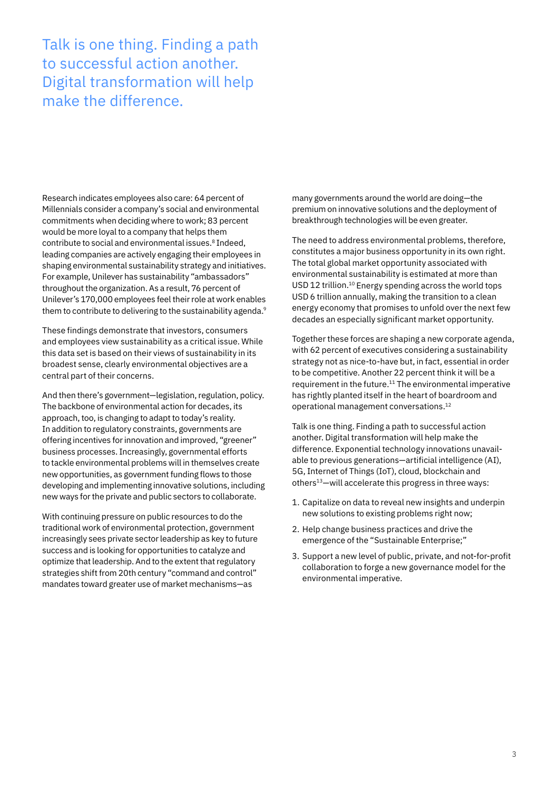Talk is one thing. Finding a path to successful action another. Digital transformation will help make the difference.

Research indicates employees also care: 64 percent of Millennials consider a company's social and environmental commitments when deciding where to work; 83 percent would be more loyal to a company that helps them contribute to social and environmental issues.8 Indeed, leading companies are actively engaging their employees in shaping environmental sustainability strategy and initiatives. For example, Unilever has sustainability "ambassadors" throughout the organization. As a result, 76 percent of Unilever's 170,000 employees feel their role at work enables them to contribute to delivering to the sustainability agenda.9

These findings demonstrate that investors, consumers and employees view sustainability as a critical issue. While this data set is based on their views of sustainability in its broadest sense, clearly environmental objectives are a central part of their concerns.

And then there's government—legislation, regulation, policy. The backbone of environmental action for decades, its approach, too, is changing to adapt to today's reality. In addition to regulatory constraints, governments are offering incentives for innovation and improved, "greener" business processes. Increasingly, governmental efforts to tackle environmental problems will in themselves create new opportunities, as government funding flows to those developing and implementing innovative solutions, including new ways for the private and public sectors to collaborate.

With continuing pressure on public resources to do the traditional work of environmental protection, government increasingly sees private sector leadership as key to future success and is looking for opportunities to catalyze and optimize that leadership. And to the extent that regulatory strategies shift from 20th century "command and control" mandates toward greater use of market mechanisms—as

many governments around the world are doing—the premium on innovative solutions and the deployment of breakthrough technologies will be even greater.

The need to address environmental problems, therefore, constitutes a major business opportunity in its own right. The total global market opportunity associated with environmental sustainability is estimated at more than USD 12 trillion.<sup>10</sup> Energy spending across the world tops USD 6 trillion annually, making the transition to a clean energy economy that promises to unfold over the next few decades an especially significant market opportunity.

Together these forces are shaping a new corporate agenda, with 62 percent of executives considering a sustainability strategy not as nice-to-have but, in fact, essential in order to be competitive. Another 22 percent think it will be a requirement in the future.11 The environmental imperative has rightly planted itself in the heart of boardroom and operational management conversations.12

Talk is one thing. Finding a path to successful action another. Digital transformation will help make the difference. Exponential technology innovations unavailable to previous generations—artificial intelligence (AI), 5G, Internet of Things (IoT), cloud, blockchain and others<sup>13</sup>-will accelerate this progress in three ways:

- 1. Capitalize on data to reveal new insights and underpin new solutions to existing problems right now;
- 2. Help change business practices and drive the emergence of the "Sustainable Enterprise;"
- 3. Support a new level of public, private, and not-for-profit collaboration to forge a new governance model for the environmental imperative.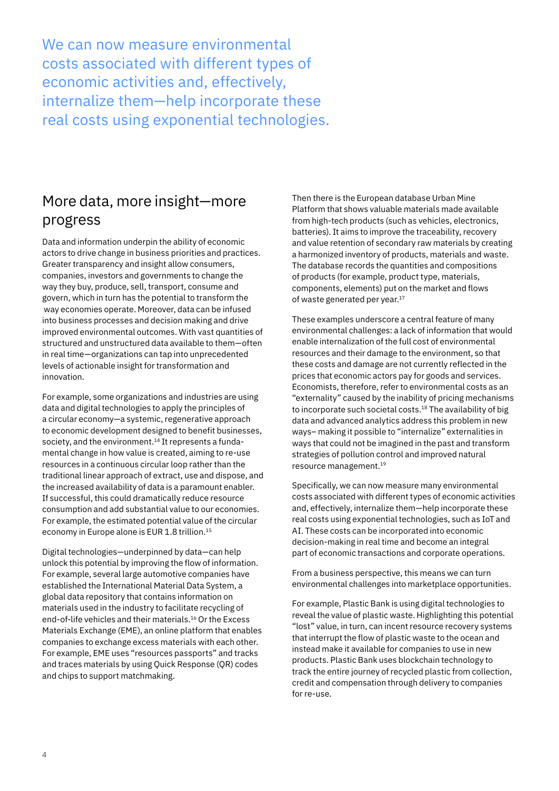We can now measure environmental costs associated with different types of economic activities and, effectively, internalize them—help incorporate these real costs using exponential technologies.

### More data, more insight—more progress

Data and information underpin the ability of economic actors to drive change in business priorities and practices. Greater transparency and insight allow consumers, companies, investors and governments to change the way they buy, produce, sell, transport, consume and govern, which in turn has the potential to transform the way economies operate. Moreover, data can be infused into business processes and decision making and drive improved environmental outcomes. With vast quantities of structured and unstructured data available to them—often in real time—organizations can tap into unprecedented levels of actionable insight for transformation and innovation.

For example, some organizations and industries are using data and digital technologies to apply the principles of a circular economy—a systemic, regenerative approach to economic development designed to benefit businesses, society, and the environment.<sup>14</sup> It represents a fundamental change in how value is created, aiming to re-use resources in a continuous circular loop rather than the traditional linear approach of extract, use and dispose, and the increased availability of data is a paramount enabler. If successful, this could dramatically reduce resource consumption and add substantial value to our economies. For example, the estimated potential value of the circular economy in Europe alone is EUR 1.8 trillion.15

Digital technologies—underpinned by data—can help unlock this potential by improving the flow of information. For example, several large automotive companies have established the International Material Data System, a global data repository that contains information on materials used in the industry to facilitate recycling of end-of-life vehicles and their materials.<sup>16</sup> Or the Excess Materials Exchange (EME), an online platform that enables companies to exchange excess materials with each other. For example, EME uses "resources passports" and tracks and traces materials by using Quick Response (QR) codes and chips to support matchmaking.

Then there is the European database Urban Mine Platform that shows valuable materials made available from high-tech products (such as vehicles, electronics, batteries). It aims to improve the traceability, recovery and value retention of secondary raw materials by creating a harmonized inventory of products, materials and waste. The database records the quantities and compositions of products (for example, product type, materials, components, elements) put on the market and flows of waste generated per year.<sup>17</sup>

These examples underscore a central feature of many environmental challenges: a lack of information that would enable internalization of the full cost of environmental resources and their damage to the environment, so that these costs and damage are not currently reflected in the prices that economic actors pay for goods and services. Economists, therefore, refer to environmental costs as an "externality" caused by the inability of pricing mechanisms to incorporate such societal costs.<sup>18</sup> The availability of big data and advanced analytics address this problem in new ways– making it possible to "internalize" externalities in ways that could not be imagined in the past and transform strategies of pollution control and improved natural resource management.19

Specifically, we can now measure many environmental costs associated with different types of economic activities and, effectively, internalize them—help incorporate these real costs using exponential technologies, such as IoT and AI. These costs can be incorporated into economic decision-making in real time and become an integral part of economic transactions and corporate operations.

From a business perspective, this means we can turn environmental challenges into marketplace opportunities.

For example, Plastic Bank is using digital technologies to reveal the value of plastic waste. Highlighting this potential "lost" value, in turn, can incent resource recovery systems that interrupt the flow of plastic waste to the ocean and instead make it available for companies to use in new products. Plastic Bank uses blockchain technology to track the entire journey of recycled plastic from collection, credit and compensation through delivery to companies for re-use.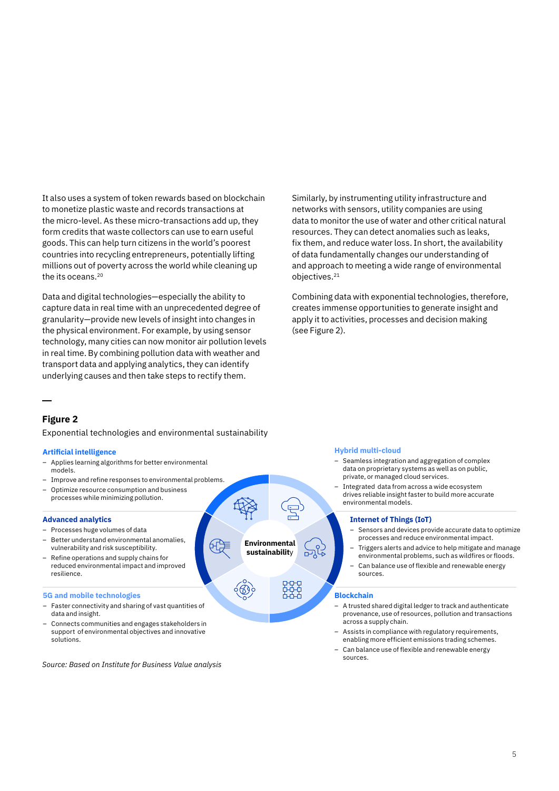It also uses a system of token rewards based on blockchain to monetize plastic waste and records transactions at the micro-level. As these micro-transactions add up, they form credits that waste collectors can use to earn useful goods. This can help turn citizens in the world's poorest countries into recycling entrepreneurs, potentially lifting millions out of poverty across the world while cleaning up the its oceans.<sup>20</sup>

Data and digital technologies—especially the ability to capture data in real time with an unprecedented degree of granularity—provide new levels of insight into changes in the physical environment. For example, by using sensor technology, many cities can now monitor air pollution levels in real time. By combining pollution data with weather and transport data and applying analytics, they can identify underlying causes and then take steps to rectify them.

Similarly, by instrumenting utility infrastructure and networks with sensors, utility companies are using data to monitor the use of water and other critical natural resources. They can detect anomalies such as leaks, fix them, and reduce water loss. In short, the availability of data fundamentally changes our understanding of and approach to meeting a wide range of environmental objectives.21

Combining data with exponential technologies, therefore, creates immense opportunities to generate insight and apply it to activities, processes and decision making (see Figure 2).

### **Figure 2**

Exponential technologies and environmental sustainability

#### **Artificial intelligence**

- Applies learning algorithms for better environmental models.
- Improve and refine responses to environmental problems.
- Optimize resource consumption and business processes while minimizing pollution.

#### **Advanced analytics**

- Processes huge volumes of data
- Better understand environmental anomalies, vulnerability and risk susceptibility.
- Refine operations and supply chains for reduced environmental impact and improved resilience.

#### **5G and mobile technologies**

- Faster connectivity and sharing of vast quantities of data and insight.
- Connects communities and engages stakeholders in support of environmental objectives and innovative solutions.

*Source: Based on Institute for Business Value analysis*

#### **Hybrid multi-cloud**

- Seamless integration and aggregation of complex data on proprietary systems as well as on public, private, or managed cloud services.
- Integrated data from across a wide ecosystem drives reliable insight faster to build more accurate environmental models.

#### **Internet of Things (IoT)**

- Sensors and devices provide accurate data to optimize processes and reduce environmental impact.
- Triggers alerts and advice to help mitigate and manage environmental problems, such as wildfires or floods.
- Can balance use of flexible and renewable energy sources.

#### **Blockchain**

**Environmental sustainabilit**y

- A trusted shared digital ledger to track and authenticate provenance, use of resources, pollution and transactions across a supply chain.
- Assists in compliance with regulatory requirements, enabling more efficient emissions trading schemes.
- Can balance use of flexible and renewable energy sources.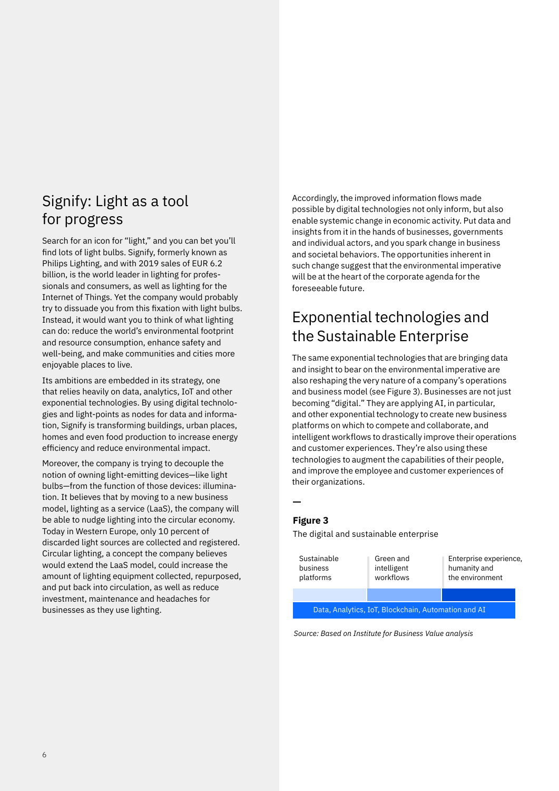### Signify: Light as a tool for progress

Search for an icon for "light," and you can bet you'll find lots of light bulbs. Signify, formerly known as Philips Lighting, and with 2019 sales of EUR 6.2 billion, is the world leader in lighting for professionals and consumers, as well as lighting for the Internet of Things. Yet the company would probably try to dissuade you from this fixation with light bulbs. Instead, it would want you to think of what lighting can do: reduce the world's environmental footprint and resource consumption, enhance safety and well-being, and make communities and cities more enjoyable places to live.

Its ambitions are embedded in its strategy, one that relies heavily on data, analytics, IoT and other exponential technologies. By using digital technologies and light-points as nodes for data and information, Signify is transforming buildings, urban places, homes and even food production to increase energy efficiency and reduce environmental impact.

Moreover, the company is trying to decouple the notion of owning light-emitting devices—like light bulbs—from the function of those devices: illumination. It believes that by moving to a new business model, lighting as a service (LaaS), the company will be able to nudge lighting into the circular economy. Today in Western Europe, only 10 percent of discarded light sources are collected and registered. Circular lighting, a concept the company believes would extend the LaaS model, could increase the amount of lighting equipment collected, repurposed, and put back into circulation, as well as reduce investment, maintenance and headaches for businesses as they use lighting.

Accordingly, the improved information flows made possible by digital technologies not only inform, but also enable systemic change in economic activity. Put data and insights from it in the hands of businesses, governments and individual actors, and you spark change in business and societal behaviors. The opportunities inherent in such change suggest that the environmental imperative will be at the heart of the corporate agenda for the foreseeable future.

# Exponential technologies and the Sustainable Enterprise

The same exponential technologies that are bringing data and insight to bear on the environmental imperative are also reshaping the very nature of a company's operations and business model (see Figure 3). Businesses are not just becoming "digital." They are applying AI, in particular, and other exponential technology to create new business platforms on which to compete and collaborate, and intelligent workflows to drastically improve their operations and customer experiences. They're also using these technologies to augment the capabilities of their people, and improve the employee and customer experiences of their organizations.

### **Figure 3**

The digital and sustainable enterprise

| Sustainable<br>business<br>platforms                | Green and<br>intelligent<br>workflows | Enterprise experience,<br>humanity and<br>the environment |
|-----------------------------------------------------|---------------------------------------|-----------------------------------------------------------|
|                                                     |                                       |                                                           |
| Data, Analytics, IoT, Blockchain, Automation and AI |                                       |                                                           |
|                                                     |                                       |                                                           |

*Source: Based on Institute for Business Value analysis*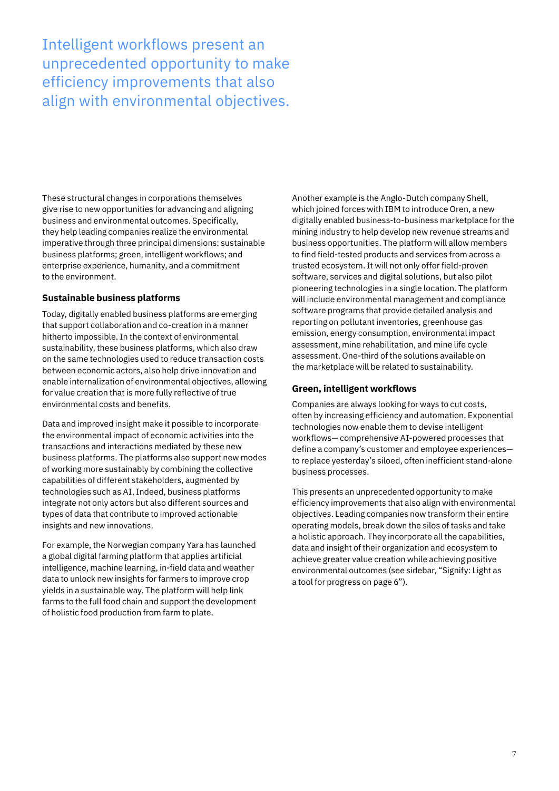Intelligent workflows present an unprecedented opportunity to make efficiency improvements that also align with environmental objectives.

These structural changes in corporations themselves give rise to new opportunities for advancing and aligning business and environmental outcomes. Specifically, they help leading companies realize the environmental imperative through three principal dimensions: sustainable business platforms; green, intelligent workflows; and enterprise experience, humanity, and a commitment to the environment.

### **Sustainable business platforms**

Today, digitally enabled business platforms are emerging that support collaboration and co-creation in a manner hitherto impossible. In the context of environmental sustainability, these business platforms, which also draw on the same technologies used to reduce transaction costs between economic actors, also help drive innovation and enable internalization of environmental objectives, allowing for value creation that is more fully reflective of true environmental costs and benefits.

Data and improved insight make it possible to incorporate the environmental impact of economic activities into the transactions and interactions mediated by these new business platforms. The platforms also support new modes of working more sustainably by combining the collective capabilities of different stakeholders, augmented by technologies such as AI. Indeed, business platforms integrate not only actors but also different sources and types of data that contribute to improved actionable insights and new innovations.

For example, the Norwegian company Yara has launched a global digital farming platform that applies artificial intelligence, machine learning, in-field data and weather data to unlock new insights for farmers to improve crop yields in a sustainable way. The platform will help link farms to the full food chain and support the development of holistic food production from farm to plate.

Another example is the Anglo-Dutch company Shell, which joined forces with IBM to introduce Oren, a new digitally enabled business-to-business marketplace for the mining industry to help develop new revenue streams and business opportunities. The platform will allow members to find field-tested products and services from across a trusted ecosystem. It will not only offer field-proven software, services and digital solutions, but also pilot pioneering technologies in a single location. The platform will include environmental management and compliance software programs that provide detailed analysis and reporting on pollutant inventories, greenhouse gas emission, energy consumption, environmental impact assessment, mine rehabilitation, and mine life cycle assessment. One-third of the solutions available on the marketplace will be related to sustainability.

### **Green, intelligent workflows**

Companies are always looking for ways to cut costs, often by increasing efficiency and automation. Exponential technologies now enable them to devise intelligent workflows— comprehensive AI-powered processes that define a company's customer and employee experiences to replace yesterday's siloed, often inefficient stand-alone business processes.

This presents an unprecedented opportunity to make efficiency improvements that also align with environmental objectives. Leading companies now transform their entire operating models, break down the silos of tasks and take a holistic approach. They incorporate all the capabilities, data and insight of their organization and ecosystem to achieve greater value creation while achieving positive environmental outcomes (see sidebar, "Signify: Light as a tool for progress on page 6").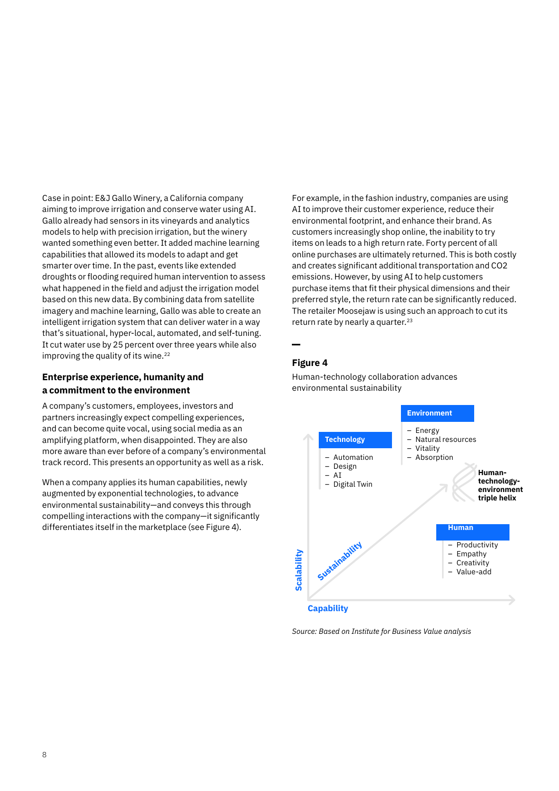Case in point: E&J Gallo Winery, a California company aiming to improve irrigation and conserve water using AI. Gallo already had sensors in its vineyards and analytics models to help with precision irrigation, but the winery wanted something even better. It added machine learning capabilities that allowed its models to adapt and get smarter over time. In the past, events like extended droughts or flooding required human intervention to assess what happened in the field and adjust the irrigation model based on this new data. By combining data from satellite imagery and machine learning, Gallo was able to create an intelligent irrigation system that can deliver water in a way that's situational, hyper-local, automated, and self-tuning. It cut water use by 25 percent over three years while also improving the quality of its wine.<sup>22</sup>

### **Enterprise experience, humanity and a commitment to the environment**

A company's customers, employees, investors and partners increasingly expect compelling experiences, and can become quite vocal, using social media as an amplifying platform, when disappointed. They are also more aware than ever before of a company's environmental track record. This presents an opportunity as well as a risk.

When a company applies its human capabilities, newly augmented by exponential technologies, to advance environmental sustainability—and conveys this through compelling interactions with the company—it significantly differentiates itself in the marketplace (see Figure 4).

For example, in the fashion industry, companies are using AI to improve their customer experience, reduce their environmental footprint, and enhance their brand. As customers increasingly shop online, the inability to try items on leads to a high return rate. Forty percent of all online purchases are ultimately returned. This is both costly and creates significant additional transportation and CO2 emissions. However, by using AI to help customers purchase items that fit their physical dimensions and their preferred style, the return rate can be significantly reduced. The retailer Moosejaw is using such an approach to cut its return rate by nearly a quarter.<sup>23</sup>

### **Figure 4**



Human-technology collaboration advances environmental sustainability

*Source: Based on Institute for Business Value analysis*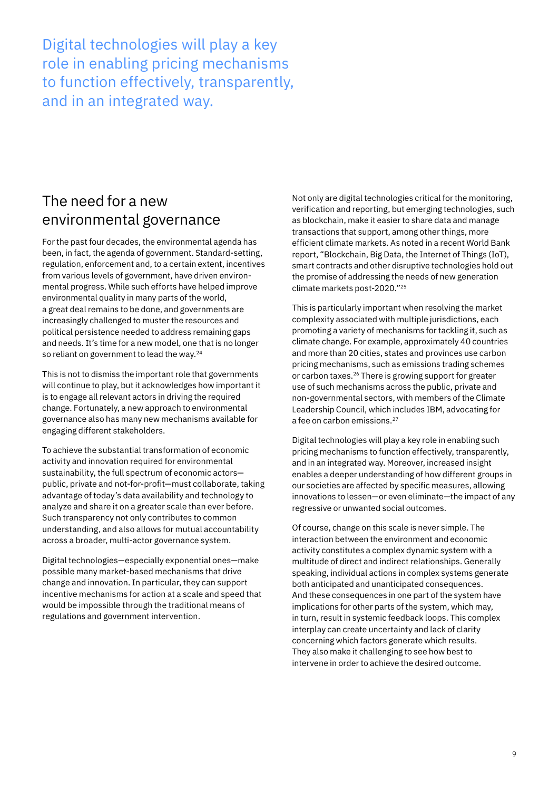Digital technologies will play a key role in enabling pricing mechanisms to function effectively, transparently, and in an integrated way.

# The need for a new environmental governance

For the past four decades, the environmental agenda has been, in fact, the agenda of government. Standard-setting, regulation, enforcement and, to a certain extent, incentives from various levels of government, have driven environmental progress. While such efforts have helped improve environmental quality in many parts of the world, a great deal remains to be done, and governments are increasingly challenged to muster the resources and political persistence needed to address remaining gaps and needs. It's time for a new model, one that is no longer so reliant on government to lead the way.<sup>24</sup>

This is not to dismiss the important role that governments will continue to play, but it acknowledges how important it is to engage all relevant actors in driving the required change. Fortunately, a new approach to environmental governance also has many new mechanisms available for engaging different stakeholders.

To achieve the substantial transformation of economic activity and innovation required for environmental sustainability, the full spectrum of economic actors public, private and not-for-profit—must collaborate, taking advantage of today's data availability and technology to analyze and share it on a greater scale than ever before. Such transparency not only contributes to common understanding, and also allows for mutual accountability across a broader, multi-actor governance system.

Digital technologies—especially exponential ones—make possible many market-based mechanisms that drive change and innovation. In particular, they can support incentive mechanisms for action at a scale and speed that would be impossible through the traditional means of regulations and government intervention.

Not only are digital technologies critical for the monitoring, verification and reporting, but emerging technologies, such as blockchain, make it easier to share data and manage transactions that support, among other things, more efficient climate markets. As noted in a recent World Bank report, "Blockchain, Big Data, the Internet of Things (IoT), smart contracts and other disruptive technologies hold out the promise of addressing the needs of new generation climate markets post-2020."25

This is particularly important when resolving the market complexity associated with multiple jurisdictions, each promoting a variety of mechanisms for tackling it, such as climate change. For example, approximately 40 countries and more than 20 cities, states and provinces use carbon pricing mechanisms, such as emissions trading schemes or carbon taxes.26 There is growing support for greater use of such mechanisms across the public, private and non-governmental sectors, with members of the Climate Leadership Council, which includes IBM, advocating for a fee on carbon emissions.<sup>27</sup>

Digital technologies will play a key role in enabling such pricing mechanisms to function effectively, transparently, and in an integrated way. Moreover, increased insight enables a deeper understanding of how different groups in our societies are affected by specific measures, allowing innovations to lessen—or even eliminate—the impact of any regressive or unwanted social outcomes.

Of course, change on this scale is never simple. The interaction between the environment and economic activity constitutes a complex dynamic system with a multitude of direct and indirect relationships. Generally speaking, individual actions in complex systems generate both anticipated and unanticipated consequences. And these consequences in one part of the system have implications for other parts of the system, which may, in turn, result in systemic feedback loops. This complex interplay can create uncertainty and lack of clarity concerning which factors generate which results. They also make it challenging to see how best to intervene in order to achieve the desired outcome.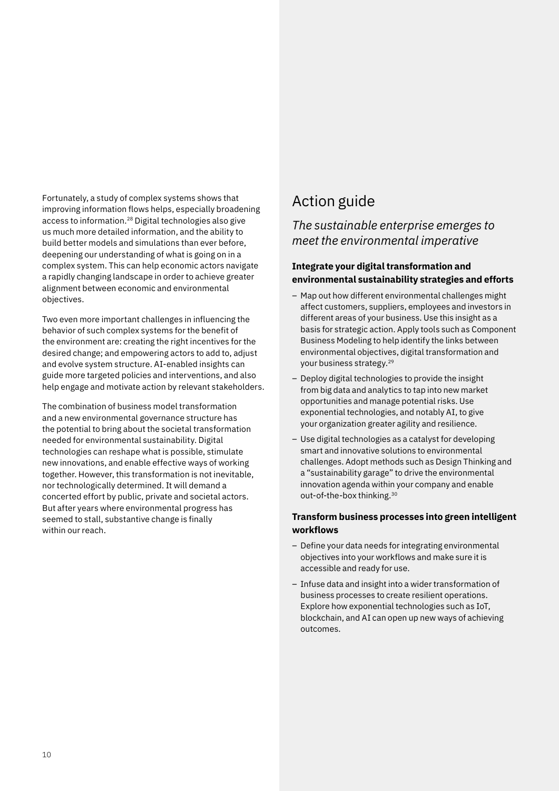Fortunately, a study of complex systems shows that improving information flows helps, especially broadening access to information.28 Digital technologies also give us much more detailed information, and the ability to build better models and simulations than ever before, deepening our understanding of what is going on in a complex system. This can help economic actors navigate a rapidly changing landscape in order to achieve greater alignment between economic and environmental objectives.

Two even more important challenges in influencing the behavior of such complex systems for the benefit of the environment are: creating the right incentives for the desired change; and empowering actors to add to, adjust and evolve system structure. AI-enabled insights can guide more targeted policies and interventions, and also help engage and motivate action by relevant stakeholders.

The combination of business model transformation and a new environmental governance structure has the potential to bring about the societal transformation needed for environmental sustainability. Digital technologies can reshape what is possible, stimulate new innovations, and enable effective ways of working together. However, this transformation is not inevitable, nor technologically determined. It will demand a concerted effort by public, private and societal actors. But after years where environmental progress has seemed to stall, substantive change is finally within our reach.

# Action guide

### *The sustainable enterprise emerges to meet the environmental imperative*

### **Integrate your digital transformation and environmental sustainability strategies and efforts**

- Map out how different environmental challenges might affect customers, suppliers, employees and investors in different areas of your business. Use this insight as a basis for strategic action. Apply tools such as Component Business Modeling to help identify the links between environmental objectives, digital transformation and your business strategy.29
- Deploy digital technologies to provide the insight from big data and analytics to tap into new market opportunities and manage potential risks. Use exponential technologies, and notably AI, to give your organization greater agility and resilience.
- Use digital technologies as a catalyst for developing smart and innovative solutions to environmental challenges. Adopt methods such as Design Thinking and a "sustainability garage" to drive the environmental innovation agenda within your company and enable out-of-the-box thinking.30

### **Transform business processes into green intelligent workflows**

- Define your data needs for integrating environmental objectives into your workflows and make sure it is accessible and ready for use.
- Infuse data and insight into a wider transformation of business processes to create resilient operations. Explore how exponential technologies such as IoT, blockchain, and AI can open up new ways of achieving outcomes.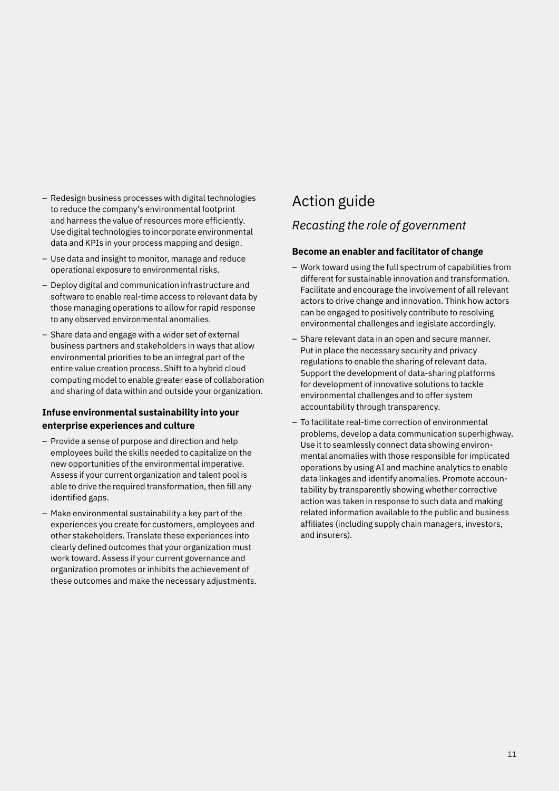- Redesign business processes with digital technologies to reduce the company's environmental footprint and harness the value of resources more efficiently. Use digital technologies to incorporate environmental data and KPIs in your process mapping and design.
- Use data and insight to monitor, manage and reduce operational exposure to environmental risks.
- Deploy digital and communication infrastructure and software to enable real-time access to relevant data by those managing operations to allow for rapid response to any observed environmental anomalies.
- Share data and engage with a wider set of external business partners and stakeholders in ways that allow environmental priorities to be an integral part of the entire value creation process. Shift to a hybrid cloud computing model to enable greater ease of collaboration and sharing of data within and outside your organization.

### **Infuse environmental sustainability into your enterprise experiences and culture**

- Provide a sense of purpose and direction and help employees build the skills needed to capitalize on the new opportunities of the environmental imperative. Assess if your current organization and talent pool is able to drive the required transformation, then fill any identified gaps.
- Make environmental sustainability a key part of the experiences you create for customers, employees and other stakeholders. Translate these experiences into clearly defined outcomes that your organization must work toward. Assess if your current governance and organization promotes or inhibits the achievement of these outcomes and make the necessary adjustments.

# Action guide *Recasting the role of government*

### **Become an enabler and facilitator of change**

- Work toward using the full spectrum of capabilities from different for sustainable innovation and transformation. Facilitate and encourage the involvement of all relevant actors to drive change and innovation. Think how actors can be engaged to positively contribute to resolving environmental challenges and legislate accordingly.
- Share relevant data in an open and secure manner. Put in place the necessary security and privacy regulations to enable the sharing of relevant data. Support the development of data-sharing platforms for development of innovative solutions to tackle environmental challenges and to offer system accountability through transparency.
- To facilitate real-time correction of environmental problems, develop a data communication superhighway. Use it to seamlessly connect data showing environmental anomalies with those responsible for implicated operations by using AI and machine analytics to enable data linkages and identify anomalies. Promote accountability by transparently showing whether corrective action was taken in response to such data and making related information available to the public and business affiliates (including supply chain managers, investors, and insurers).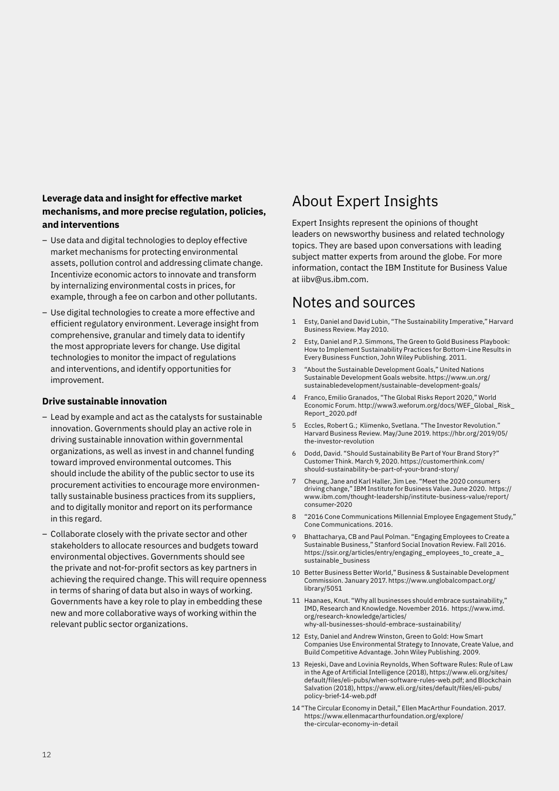### **Leverage data and insight for effective market mechanisms, and more precise regulation, policies, and interventions**

- Use data and digital technologies to deploy effective market mechanisms for protecting environmental assets, pollution control and addressing climate change. Incentivize economic actors to innovate and transform by internalizing environmental costs in prices, for example, through a fee on carbon and other pollutants.
- Use digital technologies to create a more effective and efficient regulatory environment. Leverage insight from comprehensive, granular and timely data to identify the most appropriate levers for change. Use digital technologies to monitor the impact of regulations and interventions, and identify opportunities for improvement.

### **Drive sustainable innovation**

- Lead by example and act as the catalysts for sustainable innovation. Governments should play an active role in driving sustainable innovation within governmental organizations, as well as invest in and channel funding toward improved environmental outcomes. This should include the ability of the public sector to use its procurement activities to encourage more environmentally sustainable business practices from its suppliers, and to digitally monitor and report on its performance in this regard.
- Collaborate closely with the private sector and other stakeholders to allocate resources and budgets toward environmental objectives. Governments should see the private and not-for-profit sectors as key partners in achieving the required change. This will require openness in terms of sharing of data but also in ways of working. Governments have a key role to play in embedding these new and more collaborative ways of working within the relevant public sector organizations.

# About Expert Insights

Expert Insights represent the opinions of thought leaders on newsworthy business and related technology topics. They are based upon conversations with leading subject matter experts from around the globe. For more information, contact the IBM Institute for Business Value at [iibv@us.ibm.com](mailto:iibv%40us.ibm.com?subject=).

### Notes and sources

- 1 Esty, Daniel and David Lubin, "The Sustainability Imperative," Harvard Business Review. May 2010.
- 2 Esty, Daniel and P.J. Simmons, The Green to Gold Business Playbook: How to Implement Sustainability Practices for Bottom-Line Results in Every Business Function, John Wiley Publishing. 2011.
- 3 "About the Sustainable Development Goals," United Nations Sustainable Development Goals website. [https://www.un.org/](https://www.un.org/sustainabledevelopment/sustainable-development-goals/) [sustainabledevelopment/sustainable-development-goals/](https://www.un.org/sustainabledevelopment/sustainable-development-goals/)
- 4 Franco, Emilio Granados, "The Global Risks Report 2020," World Economic Forum. [http://www3.weforum.org/docs/WEF\\_Global\\_Risk\\_](http://www3.weforum.org/docs/WEF_Global_Risk_Report_2020.pdf) [Report\\_2020.pdf](http://www3.weforum.org/docs/WEF_Global_Risk_Report_2020.pdf)
- 5 Eccles, Robert G.; Klimenko, Svetlana. "The Investor Revolution." Harvard Business Review. May/June 2019. [https://hbr.org/2019/05/](https://hbr.org/2019/05/the-investor-revolution) [the-investor-revolution](https://hbr.org/2019/05/the-investor-revolution)
- 6 Dodd, David. "Should Sustainability Be Part of Your Brand Story?" Customer Think. March 9, 2020. [https://customerthink.com/](https://customerthink.com/should-sustainability-be-part-of-your-brand-story) [should-sustainability-be-part-of-your-brand-story](https://customerthink.com/should-sustainability-be-part-of-your-brand-story)/
- 7 Cheung, Jane and Karl Haller, Jim Lee. "Meet the 2020 consumers driving change," IBM Institute for Business Value. June 2020. [https://](https://www.ibm.com/thought-leadership/institute-business-value/report/consumer-2020) [www.ibm.com/thought-leadership/institute-business-value/report/](https://www.ibm.com/thought-leadership/institute-business-value/report/consumer-2020) [consumer-2020](https://www.ibm.com/thought-leadership/institute-business-value/report/consumer-2020)
- 8 "2016 Cone Communications Millennial Employee Engagement Study," Cone Communications. 2016.
- 9 Bhattacharya, CB and Paul Polman. "Engaging Employees to Create a Sustainable Business," Stanford Social Inovation Review. Fall 2016. [https://ssir.org/articles/entry/engaging\\_employees\\_to\\_create\\_a\\_](https://ssir.org/articles/entry/engaging_employees_to_create_a_sustainable_business) [sustainable\\_business](https://ssir.org/articles/entry/engaging_employees_to_create_a_sustainable_business)
- 10 Better Business Better World," Business & Sustainable Development Commission. January 2017. [https://www.unglobalcompact.org/](https://www.unglobalcompact.org/library/5051) [library/5051](https://www.unglobalcompact.org/library/5051)
- 11 Haanaes, Knut. "Why all businesses should embrace sustainability," IMD, Research and Knowledge. November 2016. [https://www.imd.](https://www.imd.org/research-knowledge/articles/why-all-businesses-should-embrace-sustainability/) [org/research-knowledge/articles/](https://www.imd.org/research-knowledge/articles/why-all-businesses-should-embrace-sustainability/) [why-all-businesses-should-embrace-sustainability/](https://www.imd.org/research-knowledge/articles/why-all-businesses-should-embrace-sustainability/)
- 12 Esty, Daniel and Andrew Winston, Green to Gold: How Smart Companies Use Environmental Strategy to Innovate, Create Value, and Build Competitive Advantage. John Wiley Publishing. 2009.
- 13 Rejeski, Dave and Lovinia Reynolds, When Software Rules: Rule of Law in the Age of Artificial Intelligence (2018), [https://www.eli.org/sites/](https://www.eli.org/sites/default/files/eli-pubs/when-software-rules-web.pdf) [default/files/eli-pubs/when-software-rules-web.pdf;](https://www.eli.org/sites/default/files/eli-pubs/when-software-rules-web.pdf) and Blockchain Salvation (2018), [https://www.eli.org/sites/default/files/eli-pubs/](https://www.eli.org/sites/default/files/eli-pubs/policy-brief-14-web.pdf) [policy-brief-14-web.pdf](https://www.eli.org/sites/default/files/eli-pubs/policy-brief-14-web.pdf)
- 14 "The Circular Economy in Detail," Ellen MacArthur Foundation. 2017. [https://www.ellenmacarthurfoundation.org/explore/](https://www.ellenmacarthurfoundation.org/explore/the-circular-economy-in-detai) [the-circular-economy-in-detai](https://www.ellenmacarthurfoundation.org/explore/the-circular-economy-in-detai)l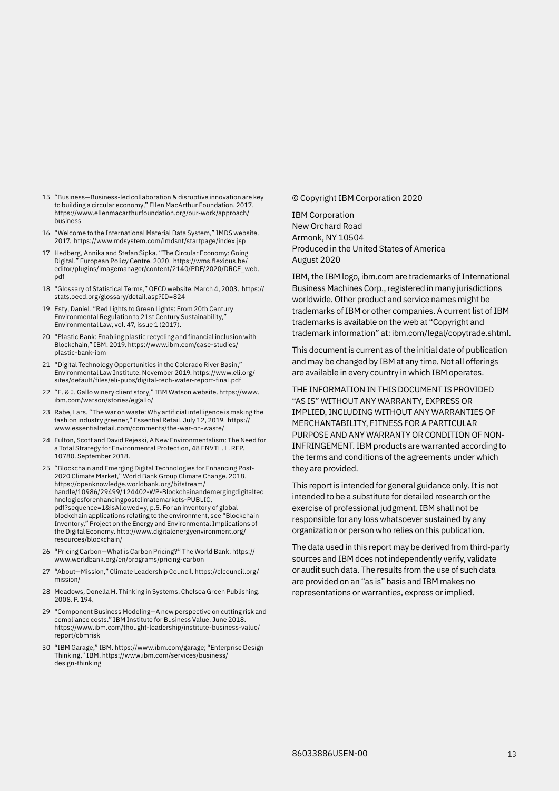- 15 "Business—Business-led collaboration & disruptive innovation are key to building a circular economy," Ellen MacArthur Foundation. 2017. [https://www.ellenmacarthurfoundation.org/our-work/approach/](https://www.ellenmacarthurfoundation.org/our-work/approach/business) [business](https://www.ellenmacarthurfoundation.org/our-work/approach/business)
- 16 "Welcome to the International Material Data System," IMDS website. 2017. <https://www.mdsystem.com/imdsnt/startpage/index.jsp>
- 17 Hedberg, Annika and Stefan Sipka. "The Circular Economy: Going Digital." European Policy Centre. 2020. [https://wms.flexious.be/](https://wms.flexious.be/editor/plugins/imagemanager/content/2140/PDF/2020/DRCE_web.pdf) [editor/plugins/imagemanager/content/2140/PDF/2020/DRCE\\_web.](https://wms.flexious.be/editor/plugins/imagemanager/content/2140/PDF/2020/DRCE_web.pdf) [pdf](https://wms.flexious.be/editor/plugins/imagemanager/content/2140/PDF/2020/DRCE_web.pdf)
- 18 "Glossary of Statistical Terms," OECD website. March 4, 2003. [https://](https://stats.oecd.org/glossary/detail.asp?ID=824) [stats.oecd.org/glossary/detail.asp?ID=824](https://stats.oecd.org/glossary/detail.asp?ID=824)
- 19 Esty, Daniel. "Red Lights to Green Lights: From 20th Century Environmental Regulation to 21st Century Sustainability," Environmental Law, vol. 47, issue 1 (2017).
- 20 "Plastic Bank: Enabling plastic recycling and financial inclusion with Blockchain," IBM. 2019. [https://www.ibm.com/case-studies/](https://www.ibm.com/case-studies/plastic-bank-ibm) [plastic-bank-ibm](https://www.ibm.com/case-studies/plastic-bank-ibm)
- 21 "Digital Technology Opportunities in the Colorado River Basin," Environmental Law Institute. November 2019. [https://www.eli.org/](https://www.eli.org/sites/default/files/eli-pubs/digital-tech-water-report-final.pdf) [sites/default/files/eli-pubs/digital-tech-water-report-final.pdf](https://www.eli.org/sites/default/files/eli-pubs/digital-tech-water-report-final.pdf)
- 22 "E. & J. Gallo winery client story," IBM Watson website. [https://www.](https://www.ibm.com/watson/stories/ejgallo/) [ibm.com/watson/stories/ejgallo/](https://www.ibm.com/watson/stories/ejgallo/)
- 23 Rabe, Lars. "The war on waste: Why artificial intelligence is making the fashion industry greener," Essential Retail. July 12, 2019. [https://](https://www.essentialretail.com/comments/the-war-on-waste/) [www.essentialretail.com/comments/the-war-on-waste/](https://www.essentialretail.com/comments/the-war-on-waste/)
- 24 Fulton, Scott and David Rejeski, A New Environmentalism: The Need for a Total Strategy for Environmental Protection, 48 ENVTL. L. REP. 10780. September 2018.
- 25 "Blockchain and Emerging Digital Technologies for Enhancing Post-2020 Climate Market," World Bank Group Climate Change. 2018. [https://openknowledge.worldbank.org/bitstream/](https://openknowledge.worldbank.org/bitstream/handle/10986/29499/124402-WP-Blockchainandemergingdigi) [handle/10986/29499/124402-WP-Blockchainandemergingdigitaltec](https://openknowledge.worldbank.org/bitstream/handle/10986/29499/124402-WP-Blockchainandemergingdigi) [hnologiesforenhancingpostclimatemarkets-PUBLIC.](https://openknowledge.worldbank.org/bitstream/handle/10986/29499/124402-WP-Blockchainandemergingdigi) [pdf?sequence=1&isAllowed=y](https://openknowledge.worldbank.org/bitstream/handle/10986/29499/124402-WP-Blockchainandemergingdigi), p.5. For an inventory of global blockchain applications relating to the environment, see "Blockchain Inventory," Project on the Energy and Environmental Implications of the Digital Economy. [http://www.digitalenergyenvironment.org/](http://www.digitalenergyenvironment.org/resources/blockchain/) [resources/blockchain/](http://www.digitalenergyenvironment.org/resources/blockchain/)
- 26 "Pricing Carbon—What is Carbon Pricing?" The World Bank. [https://](https://www.worldbank.org/en/programs/pricing-carbon) [www.worldbank.org/en/programs/pricing-carbon](https://www.worldbank.org/en/programs/pricing-carbon)
- 27 "About—Mission," Climate Leadership Council. [https://clcouncil.org/](https://clcouncil.org/mission/) [mission/](https://clcouncil.org/mission/)
- 28 Meadows, Donella H. Thinking in Systems. Chelsea Green Publishing. 2008. P. 194.
- 29 "Component Business Modeling—A new perspective on cutting risk and compliance costs." IBM Institute for Business Value. June 2018. [https://www.ibm.com/thought-leadership/institute-business-value/](https://www.ibm.com/thought-leadership/institute-business-value/report/cbmris) [report/cbmrisk](https://www.ibm.com/thought-leadership/institute-business-value/report/cbmris)
- 30 "IBM Garage," IBM. https://www.ibm.com/garage; "Enterprise Design Thinking," IBM. [https://www.ibm.com/services/business/](https://www.ibm.com/services/business/design-thinking) [design-thinking](https://www.ibm.com/services/business/design-thinking)

### © Copyright IBM Corporation 2020

IBM Corporation New Orchard Road Armonk, NY 10504 Produced in the United States of America August 2020

IBM, the IBM logo, [ibm.com](http://www.ibm.com) are trademarks of International Business Machines Corp., registered in many jurisdictions worldwide. Other product and service names might be trademarks of IBM or other companies. A current list of IBM trademarks is available on the web at "Copyright and trademark information" at: [ibm.com/legal/copytrade.shtml](http://www.ibm.com/legal/copytrade.shtml).

This document is current as of the initial date of publication and may be changed by IBM at any time. Not all offerings are available in every country in which IBM operates.

THE INFORMATION IN THIS DOCUMENT IS PROVIDED "AS IS" WITHOUT ANY WARRANTY, EXPRESS OR IMPLIED, INCLUDING WITHOUT ANY WARRANTIES OF MERCHANTABILITY, FITNESS FOR A PARTICULAR PURPOSE AND ANY WARRANTY OR CONDITION OF NON-INFRINGEMENT. IBM products are warranted according to the terms and conditions of the agreements under which they are provided.

This report is intended for general guidance only. It is not intended to be a substitute for detailed research or the exercise of professional judgment. IBM shall not be responsible for any loss whatsoever sustained by any organization or person who relies on this publication.

The data used in this report may be derived from third-party sources and IBM does not independently verify, validate or audit such data. The results from the use of such data are provided on an "as is" basis and IBM makes no representations or warranties, express or implied.